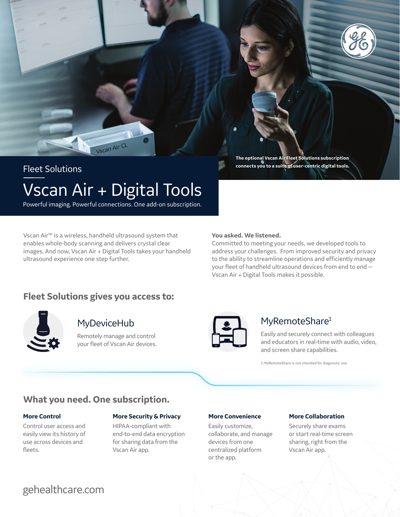



# Vscan Air + Digital Tools Fleet Solutions

Powerful imaging. Powerful connections. One add-on subscription.

Vscan Air™ is a wireless, handheld ultrasound system that enables whole-body scanning and delivers crystal clear images. And now, Vscan Air + Digital Tools takes your handheld ultrasound experience one step further.

#### **You asked. We listened.**

Committed to meeting your needs, we developed tools to address your challenges. From improved security and privacy to the ability to streamline operations and efficiently manage your fleet of handheld ultrasound devices from end to end— Vscan Air + Digital Tools makes it possible.

**The optional Vscan Air Fleet Solutions subscription connects you to a suite of user-centric digital tools.**

## **Fleet Solutions gives you access to:**



## **MyDeviceHub**

Remotely manage and control your fleet of Vscan Air devices.



## MyRemoteShare<sup>1</sup>

Easily and securely connect with colleagues and educators in real-time with audio, video, and screen share capabilities.

1 MyRemoteShare is not intended for diagnostic use.

## **What you need. One subscription.**

## **More Control**

Control user access and easily view its history of use across devices and fleets.

## **More Security & Privacy**

HIPAA-compliant with end-to-end data encryption for sharing data from the Vscan Air app.

## **More Convenience**

Easily customize, collaborate, and manage devices from one centralized platform or the app.

## **More Collaboration**

Securely share exams or start real-time screen sharing, right from the Vscan Air app.

## gehealthcare.com